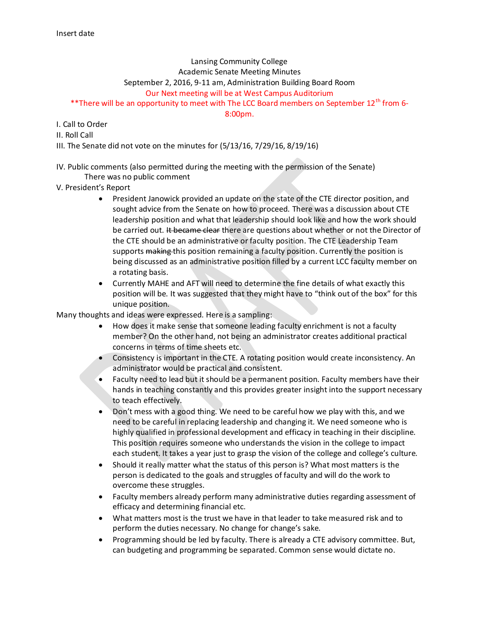## Lansing Community College Academic Senate Meeting Minutes September 2, 2016, 9-11 am, Administration Building Board Room Our Next meeting will be at West Campus Auditorium \*\*There will be an opportunity to meet with The LCC Board members on September  $12^{th}$  from 6-

8:00pm.

## I. Call to Order

II. Roll Call

III. The Senate did not vote on the minutes for (5/13/16, 7/29/16, 8/19/16)

# IV. Public comments (also permitted during the meeting with the permission of the Senate)

There was no public comment

V. President's Report

- President Janowick provided an update on the state of the CTE director position, and sought advice from the Senate on how to proceed. There was a discussion about CTE leadership position and what that leadership should look like and how the work should be carried out. It became clear there are questions about whether or not the Director of the CTE should be an administrative or faculty position. The CTE Leadership Team supports making this position remaining a faculty position. Currently the position is being discussed as an administrative position filled by a current LCC faculty member on a rotating basis.
- Currently MAHE and AFT will need to determine the fine details of what exactly this position will be. It was suggested that they might have to "think out of the box" for this unique position.

Many thoughts and ideas were expressed. Here is a sampling:

- How does it make sense that someone leading faculty enrichment is not a faculty member? On the other hand, not being an administrator creates additional practical concerns in terms of time sheets etc.
- Consistency is important in the CTE. A rotating position would create inconsistency. An administrator would be practical and consistent.
- Faculty need to lead but it should be a permanent position. Faculty members have their hands in teaching constantly and this provides greater insight into the support necessary to teach effectively.
- Don't mess with a good thing. We need to be careful how we play with this, and we need to be careful in replacing leadership and changing it. We need someone who is highly qualified in professional development and efficacy in teaching in their discipline. This position requires someone who understands the vision in the college to impact each student. It takes a year just to grasp the vision of the college and college's culture.
- Should it really matter what the status of this person is? What most matters is the person is dedicated to the goals and struggles of faculty and will do the work to overcome these struggles.
- Faculty members already perform many administrative duties regarding assessment of efficacy and determining financial etc.
- What matters most is the trust we have in that leader to take measured risk and to perform the duties necessary. No change for change's sake.
- Programming should be led by faculty. There is already a CTE advisory committee. But, can budgeting and programming be separated. Common sense would dictate no.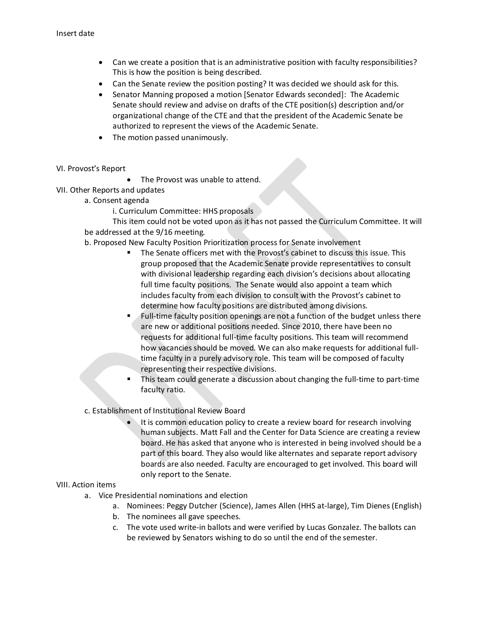- Can we create a position that is an administrative position with faculty responsibilities? This is how the position is being described.
- Can the Senate review the position posting? It was decided we should ask for this.
- Senator Manning proposed a motion [Senator Edwards seconded]: The Academic Senate should review and advise on drafts of the CTE position(s) description and/or organizational change of the CTE and that the president of the Academic Senate be authorized to represent the views of the Academic Senate.
- The motion passed unanimously.
- VI. Provost's Report
- The Provost was unable to attend.
- VII. Other Reports and updates
	- a. Consent agenda
		- i. Curriculum Committee: HHS proposals

This item could not be voted upon as it has not passed the Curriculum Committee. It will be addressed at the 9/16 meeting.

- b. Proposed New Faculty Position Prioritization process for Senate involvement
	- The Senate officers met with the Provost's cabinet to discuss this issue. This group proposed that the Academic Senate provide representatives to consult with divisional leadership regarding each division's decisions about allocating full time faculty positions. The Senate would also appoint a team which includes faculty from each division to consult with the Provost's cabinet to determine how faculty positions are distributed among divisions.
	- Full-time faculty position openings are not a function of the budget unless there are new or additional positions needed. Since 2010, there have been no requests for additional full-time faculty positions. This team will recommend how vacancies should be moved. We can also make requests for additional fulltime faculty in a purely advisory role. This team will be composed of faculty representing their respective divisions.
	- This team could generate a discussion about changing the full-time to part-time faculty ratio.
- c. Establishment of Institutional Review Board
	- It is common education policy to create a review board for research involving human subjects. Matt Fall and the Center for Data Science are creating a review board. He has asked that anyone who is interested in being involved should be a part of this board. They also would like alternates and separate report advisory boards are also needed. Faculty are encouraged to get involved. This board will only report to the Senate.

### VIII. Action items

- a. Vice Presidential nominations and election
	- a. Nominees: Peggy Dutcher (Science), James Allen (HHS at-large), Tim Dienes (English)
	- b. The nominees all gave speeches.
	- c. The vote used write-in ballots and were verified by Lucas Gonzalez. The ballots can be reviewed by Senators wishing to do so until the end of the semester.